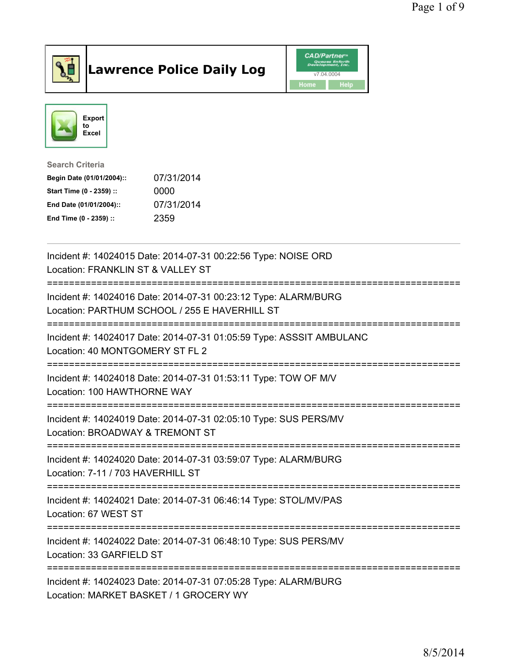

## Lawrence Police Daily Log **Daniel CAD/Partner**





Search Criteria Begin Date (01/01/2004):: 07/31/2014 Start Time (0 - 2359) :: 0000 End Date (01/01/2004):: 07/31/2014 End Time (0 - 2359) :: 2359

| Incident #: 14024015 Date: 2014-07-31 00:22:56 Type: NOISE ORD<br>Location: FRANKLIN ST & VALLEY ST<br>=========================<br>=========== |
|-------------------------------------------------------------------------------------------------------------------------------------------------|
| Incident #: 14024016 Date: 2014-07-31 00:23:12 Type: ALARM/BURG<br>Location: PARTHUM SCHOOL / 255 E HAVERHILL ST                                |
| Incident #: 14024017 Date: 2014-07-31 01:05:59 Type: ASSSIT AMBULANC<br>Location: 40 MONTGOMERY ST FL 2                                         |
| Incident #: 14024018 Date: 2014-07-31 01:53:11 Type: TOW OF M/V<br>Location: 100 HAWTHORNE WAY                                                  |
| Incident #: 14024019 Date: 2014-07-31 02:05:10 Type: SUS PERS/MV<br>Location: BROADWAY & TREMONT ST<br>----------------------                   |
| Incident #: 14024020 Date: 2014-07-31 03:59:07 Type: ALARM/BURG<br>Location: 7-11 / 703 HAVERHILL ST                                            |
| Incident #: 14024021 Date: 2014-07-31 06:46:14 Type: STOL/MV/PAS<br>Location: 67 WEST ST                                                        |
| Incident #: 14024022 Date: 2014-07-31 06:48:10 Type: SUS PERS/MV<br>Location: 33 GARFIELD ST                                                    |
| Incident #: 14024023 Date: 2014-07-31 07:05:28 Type: ALARM/BURG<br>Location: MARKET BASKET / 1 GROCERY WY                                       |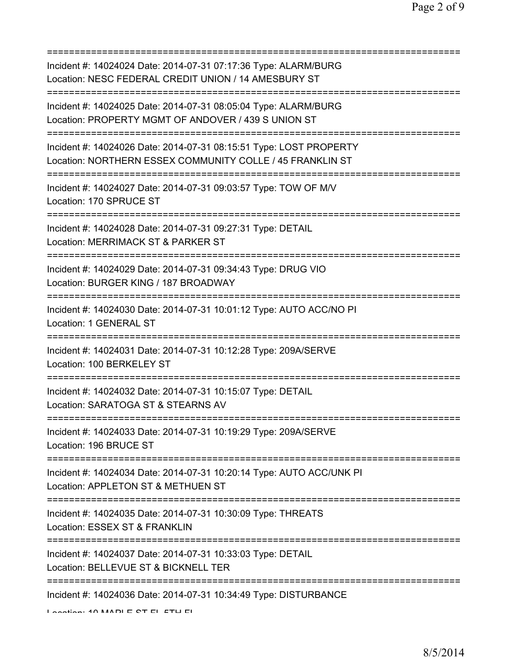=========================================================================== Incident #: 14024024 Date: 2014-07-31 07:17:36 Type: ALARM/BURG Location: NESC FEDERAL CREDIT UNION / 14 AMESBURY ST =========================================================================== Incident #: 14024025 Date: 2014-07-31 08:05:04 Type: ALARM/BURG Location: PROPERTY MGMT OF ANDOVER / 439 S UNION ST =========================================================================== Incident #: 14024026 Date: 2014-07-31 08:15:51 Type: LOST PROPERTY Location: NORTHERN ESSEX COMMUNITY COLLE / 45 FRANKLIN ST =========================================================================== Incident #: 14024027 Date: 2014-07-31 09:03:57 Type: TOW OF M/V Location: 170 SPRUCE ST =========================================================================== Incident #: 14024028 Date: 2014-07-31 09:27:31 Type: DETAIL Location: MERRIMACK ST & PARKER ST =========================================================================== Incident #: 14024029 Date: 2014-07-31 09:34:43 Type: DRUG VIO Location: BURGER KING / 187 BROADWAY =========================================================================== Incident #: 14024030 Date: 2014-07-31 10:01:12 Type: AUTO ACC/NO PI Location: 1 GENERAL ST =========================================================================== Incident #: 14024031 Date: 2014-07-31 10:12:28 Type: 209A/SERVE Location: 100 BERKELEY ST =========================================================================== Incident #: 14024032 Date: 2014-07-31 10:15:07 Type: DETAIL Location: SARATOGA ST & STEARNS AV =========================================================================== Incident #: 14024033 Date: 2014-07-31 10:19:29 Type: 209A/SERVE Location: 196 BRUCE ST =========================================================================== Incident #: 14024034 Date: 2014-07-31 10:20:14 Type: AUTO ACC/UNK PI Location: APPLETON ST & METHUEN ST =========================================================================== Incident #: 14024035 Date: 2014-07-31 10:30:09 Type: THREATS Location: ESSEX ST & FRANKLIN =========================================================================== Incident #: 14024037 Date: 2014-07-31 10:33:03 Type: DETAIL Location: BELLEVUE ST & BICKNELL TER =========================================================================== Incident #: 14024036 Date: 2014-07-31 10:34:49 Type: DISTURBANCE Location: 10 MADLE CT EL ETH FL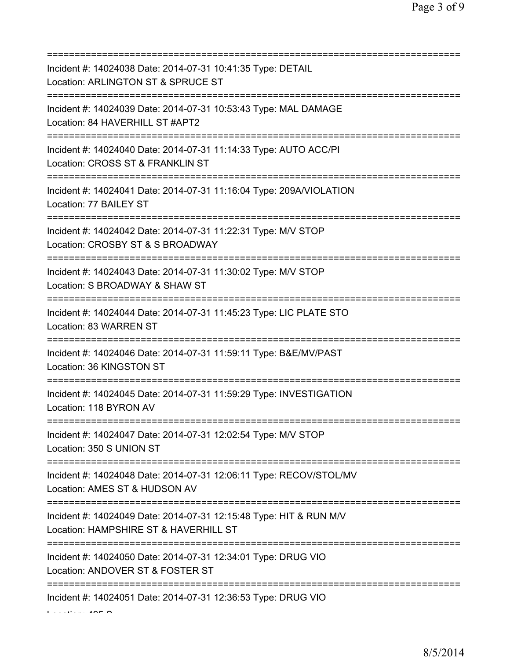| Incident #: 14024038 Date: 2014-07-31 10:41:35 Type: DETAIL<br>Location: ARLINGTON ST & SPRUCE ST<br>================================ |
|---------------------------------------------------------------------------------------------------------------------------------------|
| Incident #: 14024039 Date: 2014-07-31 10:53:43 Type: MAL DAMAGE<br>Location: 84 HAVERHILL ST #APT2<br>==========================      |
| Incident #: 14024040 Date: 2014-07-31 11:14:33 Type: AUTO ACC/PI<br>Location: CROSS ST & FRANKLIN ST                                  |
| Incident #: 14024041 Date: 2014-07-31 11:16:04 Type: 209A/VIOLATION<br>Location: 77 BAILEY ST                                         |
| Incident #: 14024042 Date: 2014-07-31 11:22:31 Type: M/V STOP<br>Location: CROSBY ST & S BROADWAY<br>;======================          |
| Incident #: 14024043 Date: 2014-07-31 11:30:02 Type: M/V STOP<br>Location: S BROADWAY & SHAW ST                                       |
| Incident #: 14024044 Date: 2014-07-31 11:45:23 Type: LIC PLATE STO<br>Location: 83 WARREN ST                                          |
| Incident #: 14024046 Date: 2014-07-31 11:59:11 Type: B&E/MV/PAST<br>Location: 36 KINGSTON ST                                          |
| Incident #: 14024045 Date: 2014-07-31 11:59:29 Type: INVESTIGATION<br>Location: 118 BYRON AV                                          |
| Incident #: 14024047 Date: 2014-07-31 12:02:54 Type: M/V STOP<br>Location: 350 S UNION ST                                             |
| Incident #: 14024048 Date: 2014-07-31 12:06:11 Type: RECOV/STOL/MV<br>Location: AMES ST & HUDSON AV                                   |
| Incident #: 14024049 Date: 2014-07-31 12:15:48 Type: HIT & RUN M/V<br>Location: HAMPSHIRE ST & HAVERHILL ST                           |
| Incident #: 14024050 Date: 2014-07-31 12:34:01 Type: DRUG VIO<br>Location: ANDOVER ST & FOSTER ST                                     |
| Incident #: 14024051 Date: 2014-07-31 12:36:53 Type: DRUG VIO                                                                         |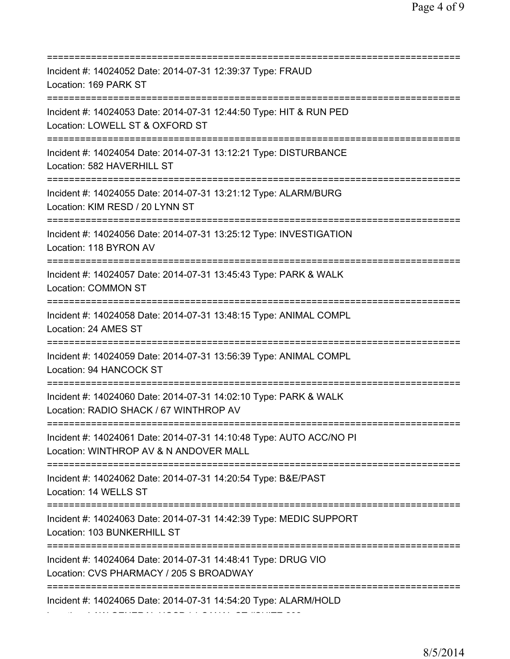| Incident #: 14024052 Date: 2014-07-31 12:39:37 Type: FRAUD<br>Location: 169 PARK ST                                                               |
|---------------------------------------------------------------------------------------------------------------------------------------------------|
| Incident #: 14024053 Date: 2014-07-31 12:44:50 Type: HIT & RUN PED<br>Location: LOWELL ST & OXFORD ST                                             |
| ============================<br>Incident #: 14024054 Date: 2014-07-31 13:12:21 Type: DISTURBANCE<br>Location: 582 HAVERHILL ST                    |
| Incident #: 14024055 Date: 2014-07-31 13:21:12 Type: ALARM/BURG<br>Location: KIM RESD / 20 LYNN ST                                                |
| Incident #: 14024056 Date: 2014-07-31 13:25:12 Type: INVESTIGATION<br>Location: 118 BYRON AV                                                      |
| Incident #: 14024057 Date: 2014-07-31 13:45:43 Type: PARK & WALK<br>Location: COMMON ST                                                           |
| Incident #: 14024058 Date: 2014-07-31 13:48:15 Type: ANIMAL COMPL<br>Location: 24 AMES ST                                                         |
| Incident #: 14024059 Date: 2014-07-31 13:56:39 Type: ANIMAL COMPL<br>Location: 94 HANCOCK ST                                                      |
| Incident #: 14024060 Date: 2014-07-31 14:02:10 Type: PARK & WALK<br>Location: RADIO SHACK / 67 WINTHROP AV                                        |
| Incident #: 14024061 Date: 2014-07-31 14:10:48 Type: AUTO ACC/NO PI<br>Location: WINTHROP AV & N ANDOVER MALL                                     |
| Incident #: 14024062 Date: 2014-07-31 14:20:54 Type: B&E/PAST<br>Location: 14 WELLS ST                                                            |
| ===================================<br>Incident #: 14024063 Date: 2014-07-31 14:42:39 Type: MEDIC SUPPORT<br>Location: 103 BUNKERHILL ST          |
| =====================================<br>Incident #: 14024064 Date: 2014-07-31 14:48:41 Type: DRUG VIO<br>Location: CVS PHARMACY / 205 S BROADWAY |
| Incident #: 14024065 Date: 2014-07-31 14:54:20 Type: ALARM/HOLD                                                                                   |

Location: LAW GENERAL HOSP / 1 CANAL ST #SUITE 202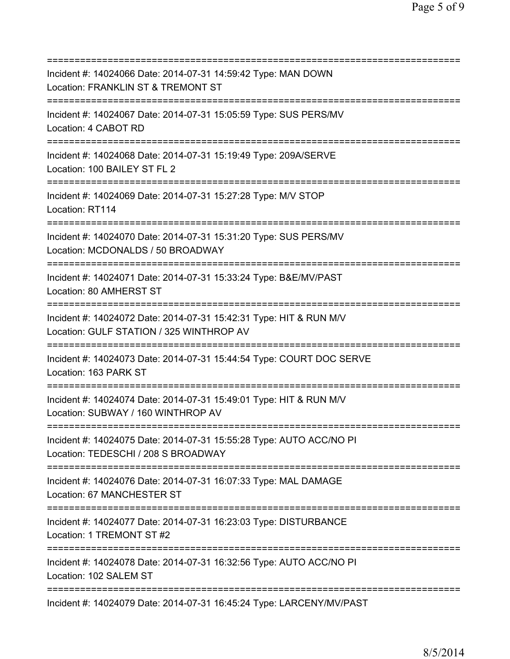=========================================================================== Incident #: 14024066 Date: 2014-07-31 14:59:42 Type: MAN DOWN Location: FRANKLIN ST & TREMONT ST =========================================================================== Incident #: 14024067 Date: 2014-07-31 15:05:59 Type: SUS PERS/MV Location: 4 CABOT RD =========================================================================== Incident #: 14024068 Date: 2014-07-31 15:19:49 Type: 209A/SERVE Location: 100 BAILEY ST FL 2 =========================================================================== Incident #: 14024069 Date: 2014-07-31 15:27:28 Type: M/V STOP Location: RT114 =========================================================================== Incident #: 14024070 Date: 2014-07-31 15:31:20 Type: SUS PERS/MV Location: MCDONALDS / 50 BROADWAY =========================================================================== Incident #: 14024071 Date: 2014-07-31 15:33:24 Type: B&E/MV/PAST Location: 80 AMHERST ST =========================================================================== Incident #: 14024072 Date: 2014-07-31 15:42:31 Type: HIT & RUN M/V Location: GULF STATION / 325 WINTHROP AV =========================================================================== Incident #: 14024073 Date: 2014-07-31 15:44:54 Type: COURT DOC SERVE Location: 163 PARK ST =========================================================================== Incident #: 14024074 Date: 2014-07-31 15:49:01 Type: HIT & RUN M/V Location: SUBWAY / 160 WINTHROP AV =========================================================================== Incident #: 14024075 Date: 2014-07-31 15:55:28 Type: AUTO ACC/NO PI Location: TEDESCHI / 208 S BROADWAY =========================================================================== Incident #: 14024076 Date: 2014-07-31 16:07:33 Type: MAL DAMAGE Location: 67 MANCHESTER ST =========================================================================== Incident #: 14024077 Date: 2014-07-31 16:23:03 Type: DISTURBANCE Location: 1 TREMONT ST #2 =========================================================================== Incident #: 14024078 Date: 2014-07-31 16:32:56 Type: AUTO ACC/NO PI Location: 102 SALEM ST =========================================================================== Incident #: 14024079 Date: 2014-07-31 16:45:24 Type: LARCENY/MV/PAST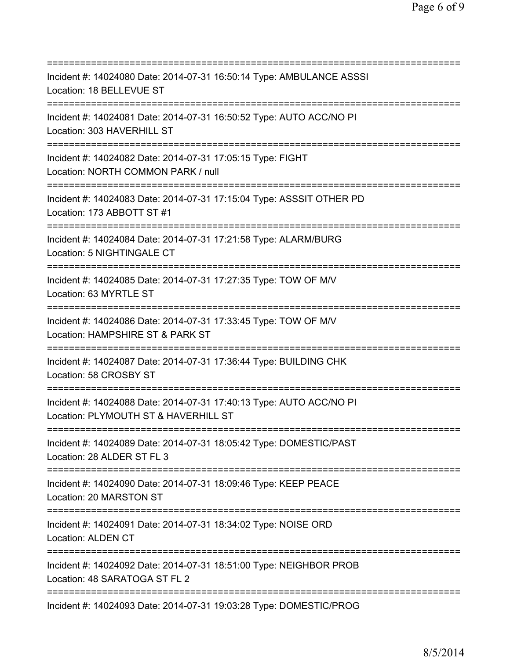| Incident #: 14024080 Date: 2014-07-31 16:50:14 Type: AMBULANCE ASSSI<br>Location: 18 BELLEVUE ST                                       |
|----------------------------------------------------------------------------------------------------------------------------------------|
| Incident #: 14024081 Date: 2014-07-31 16:50:52 Type: AUTO ACC/NO PI<br>Location: 303 HAVERHILL ST<br>================================= |
| Incident #: 14024082 Date: 2014-07-31 17:05:15 Type: FIGHT<br>Location: NORTH COMMON PARK / null                                       |
| Incident #: 14024083 Date: 2014-07-31 17:15:04 Type: ASSSIT OTHER PD<br>Location: 173 ABBOTT ST #1                                     |
| Incident #: 14024084 Date: 2014-07-31 17:21:58 Type: ALARM/BURG<br>Location: 5 NIGHTINGALE CT                                          |
| Incident #: 14024085 Date: 2014-07-31 17:27:35 Type: TOW OF M/V<br>Location: 63 MYRTLE ST<br>=====================================     |
| Incident #: 14024086 Date: 2014-07-31 17:33:45 Type: TOW OF M/V<br>Location: HAMPSHIRE ST & PARK ST                                    |
| Incident #: 14024087 Date: 2014-07-31 17:36:44 Type: BUILDING CHK<br>Location: 58 CROSBY ST                                            |
| Incident #: 14024088 Date: 2014-07-31 17:40:13 Type: AUTO ACC/NO PI<br>Location: PLYMOUTH ST & HAVERHILL ST                            |
| Incident #: 14024089 Date: 2014-07-31 18:05:42 Type: DOMESTIC/PAST<br>Location: 28 ALDER ST FL 3                                       |
| Incident #: 14024090 Date: 2014-07-31 18:09:46 Type: KEEP PEACE<br>Location: 20 MARSTON ST                                             |
| Incident #: 14024091 Date: 2014-07-31 18:34:02 Type: NOISE ORD<br><b>Location: ALDEN CT</b>                                            |
| Incident #: 14024092 Date: 2014-07-31 18:51:00 Type: NEIGHBOR PROB<br>Location: 48 SARATOGA ST FL 2                                    |
| Incident #: 14024093 Date: 2014-07-31 19:03:28 Type: DOMESTIC/PROG                                                                     |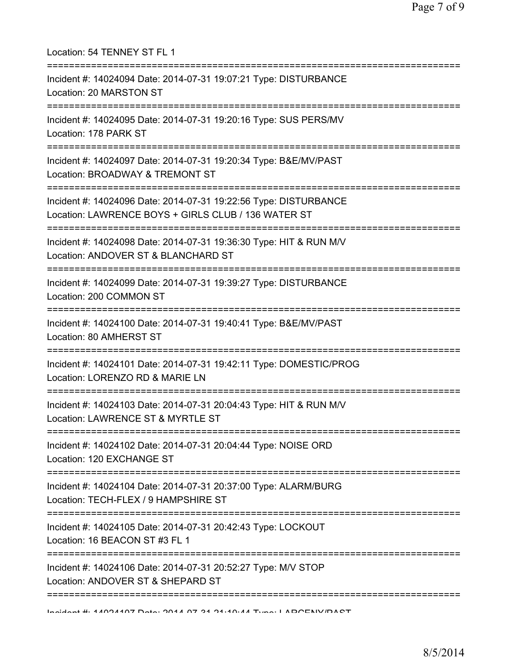| Location: 54 TENNEY ST FL 1                                                                                                               |
|-------------------------------------------------------------------------------------------------------------------------------------------|
| Incident #: 14024094 Date: 2014-07-31 19:07:21 Type: DISTURBANCE<br>Location: 20 MARSTON ST<br>======================================     |
| Incident #: 14024095 Date: 2014-07-31 19:20:16 Type: SUS PERS/MV<br>Location: 178 PARK ST                                                 |
| Incident #: 14024097 Date: 2014-07-31 19:20:34 Type: B&E/MV/PAST<br>Location: BROADWAY & TREMONT ST                                       |
| --------------<br>Incident #: 14024096 Date: 2014-07-31 19:22:56 Type: DISTURBANCE<br>Location: LAWRENCE BOYS + GIRLS CLUB / 136 WATER ST |
| Incident #: 14024098 Date: 2014-07-31 19:36:30 Type: HIT & RUN M/V<br>Location: ANDOVER ST & BLANCHARD ST                                 |
| Incident #: 14024099 Date: 2014-07-31 19:39:27 Type: DISTURBANCE<br>Location: 200 COMMON ST                                               |
| Incident #: 14024100 Date: 2014-07-31 19:40:41 Type: B&E/MV/PAST<br>Location: 80 AMHERST ST                                               |
| Incident #: 14024101 Date: 2014-07-31 19:42:11 Type: DOMESTIC/PROG<br>Location: LORENZO RD & MARIE LN                                     |
| Incident #: 14024103 Date: 2014-07-31 20:04:43 Type: HIT & RUN M/V<br>Location: LAWRENCE ST & MYRTLE ST                                   |
| Incident #: 14024102 Date: 2014-07-31 20:04:44 Type: NOISE ORD<br>Location: 120 EXCHANGE ST                                               |
| Incident #: 14024104 Date: 2014-07-31 20:37:00 Type: ALARM/BURG<br>Location: TECH-FLEX / 9 HAMPSHIRE ST                                   |
| Incident #: 14024105 Date: 2014-07-31 20:42:43 Type: LOCKOUT<br>Location: 16 BEACON ST #3 FL 1                                            |
| =============<br>Incident #: 14024106 Date: 2014-07-31 20:52:27 Type: M/V STOP<br>Location: ANDOVER ST & SHEPARD ST                       |
| Incident # 44004407 Deta: 0044 07 04 04:40:44 Tune: LADOENIV/DACT                                                                         |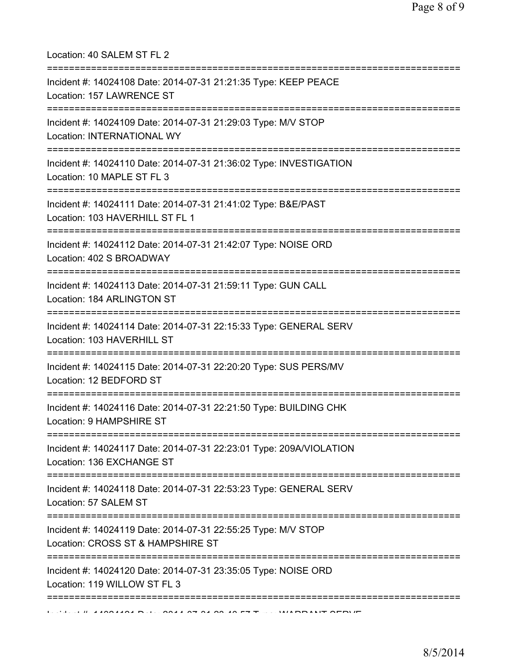| Location: 40 SALEM ST FL 2<br>====================                                                                                     |
|----------------------------------------------------------------------------------------------------------------------------------------|
| Incident #: 14024108 Date: 2014-07-31 21:21:35 Type: KEEP PEACE<br>Location: 157 LAWRENCE ST                                           |
| Incident #: 14024109 Date: 2014-07-31 21:29:03 Type: M/V STOP<br>Location: INTERNATIONAL WY                                            |
| Incident #: 14024110 Date: 2014-07-31 21:36:02 Type: INVESTIGATION<br>Location: 10 MAPLE ST FL 3<br>================================== |
| Incident #: 14024111 Date: 2014-07-31 21:41:02 Type: B&E/PAST<br>Location: 103 HAVERHILL ST FL 1                                       |
| Incident #: 14024112 Date: 2014-07-31 21:42:07 Type: NOISE ORD<br>Location: 402 S BROADWAY                                             |
| Incident #: 14024113 Date: 2014-07-31 21:59:11 Type: GUN CALL<br>Location: 184 ARLINGTON ST                                            |
| Incident #: 14024114 Date: 2014-07-31 22:15:33 Type: GENERAL SERV<br>Location: 103 HAVERHILL ST                                        |
| Incident #: 14024115 Date: 2014-07-31 22:20:20 Type: SUS PERS/MV<br>Location: 12 BEDFORD ST                                            |
| Incident #: 14024116 Date: 2014-07-31 22:21:50 Type: BUILDING CHK<br>Location: 9 HAMPSHIRE ST                                          |
| Incident #: 14024117 Date: 2014-07-31 22:23:01 Type: 209A/VIOLATION<br>Location: 136 EXCHANGE ST                                       |
| Incident #: 14024118 Date: 2014-07-31 22:53:23 Type: GENERAL SERV<br>Location: 57 SALEM ST                                             |
| Incident #: 14024119 Date: 2014-07-31 22:55:25 Type: M/V STOP<br>Location: CROSS ST & HAMPSHIRE ST                                     |
| ============<br>Incident #: 14024120 Date: 2014-07-31 23:35:05 Type: NOISE ORD<br>Location: 119 WILLOW ST FL 3                         |
|                                                                                                                                        |